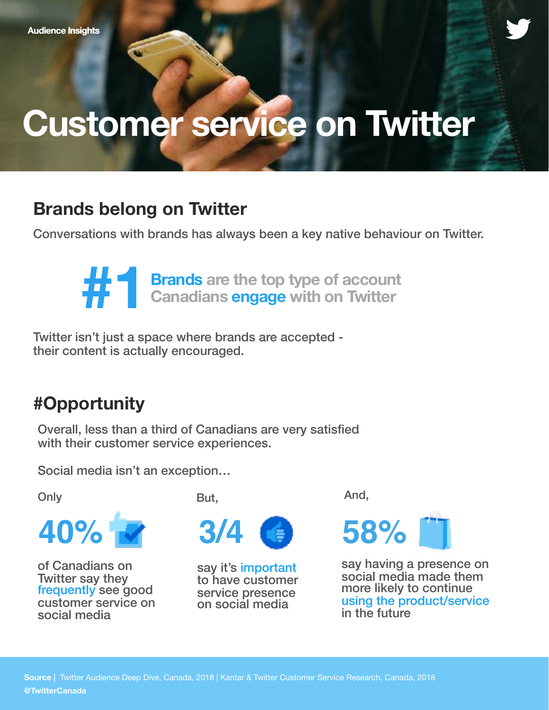# **Customer service on Twitter**

# **Brands belong on Twitter**

Conversations with brands has always been a key native behaviour on Twitter.

**#11 Brands** are the top type of account<br>Canadians engage with on Twitter **Canadians engage with on Twitter**

Twitter isn't just a space where brands are accepted their content is actually encouraged.

# **#Opportunity**

Overall, less than a third of Canadians are very satisfied with their customer service experiences.

Social media isn't an exception…

**Only** 



of Canadians on Twitter say they frequently see good customer service on social media

But,



say it's important to have customer service presence on social media

And,



say having a presence on social media made them more likely to continue using the product/service in the future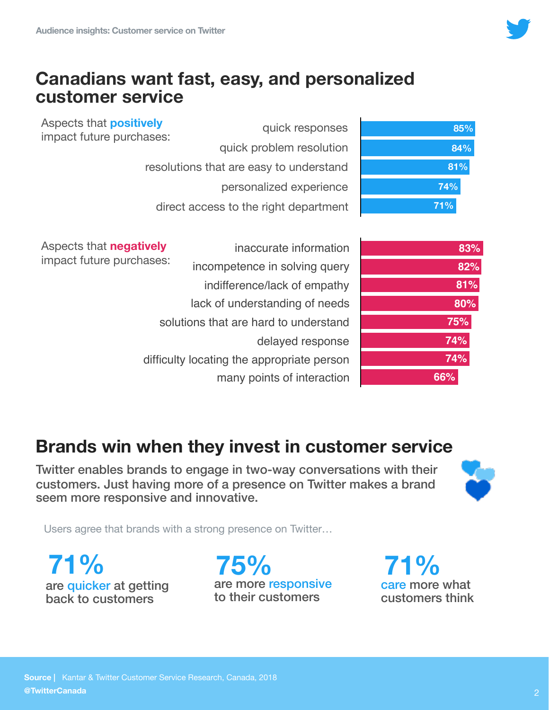

#### **Canadians want fast, easy, and personalized customer service**

Aspects that **positively** impact future purchases:

| 85% |  |
|-----|--|
| 84% |  |
| 81% |  |
| 74% |  |
| 71% |  |

quick responses quick problem resolution resolutions that are easy to understand personalized experience direct access to the right department

Aspects that **negatively** impact future purcha

| <b>vely</b> | inaccurate information                     |
|-------------|--------------------------------------------|
| ases:       | incompetence in solving query              |
|             | indifference/lack of empathy               |
|             | lack of understanding of needs             |
|             | solutions that are hard to understand      |
|             | delayed response                           |
|             | difficulty locating the appropriate person |
|             | many points of interaction                 |

| 83% |
|-----|
| 82% |
| 81% |
| 80% |
| 75% |
| 74% |
| 74% |
| 66% |

### **Brands win when they invest in customer service**

Twitter enables brands to engage in two-way conversations with their customers. Just having more of a presence on Twitter makes a brand seem more responsive and innovative.



Users agree that brands with a strong presence on Twitter…

are quicker at getting back to customers

are more responsive to their customers **71% 75% 71%**

care more what customers think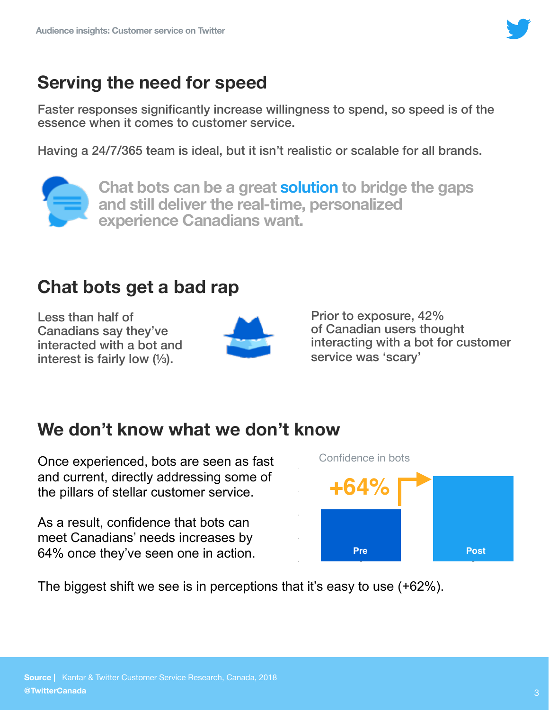

### **Serving the need for speed**

Faster responses significantly increase willingness to spend, so speed is of the essence when it comes to customer service.

Having a 24/7/365 team is ideal, but it isn't realistic or scalable for all brands.



**Chat bots can be a great solution to bridge the gaps and still deliver the real-time, personalized experience Canadians want.** 

#### **Chat bots get a bad rap**

Less than half of Canadians say they've interacted with a bot and interest is fairly low (⅓).



Prior to exposure, 42% of Canadian users thought interacting with a bot for customer service was 'scary'

### **We don't know what we don't know**

Once experienced, bots are seen as fast and current, directly addressing some of the pillars of stellar customer service.

As a result, confidence that bots can meet Canadians' needs increases by 64% once they've seen one in action.



The biggest shift we see is in perceptions that it's easy to use (+62%).